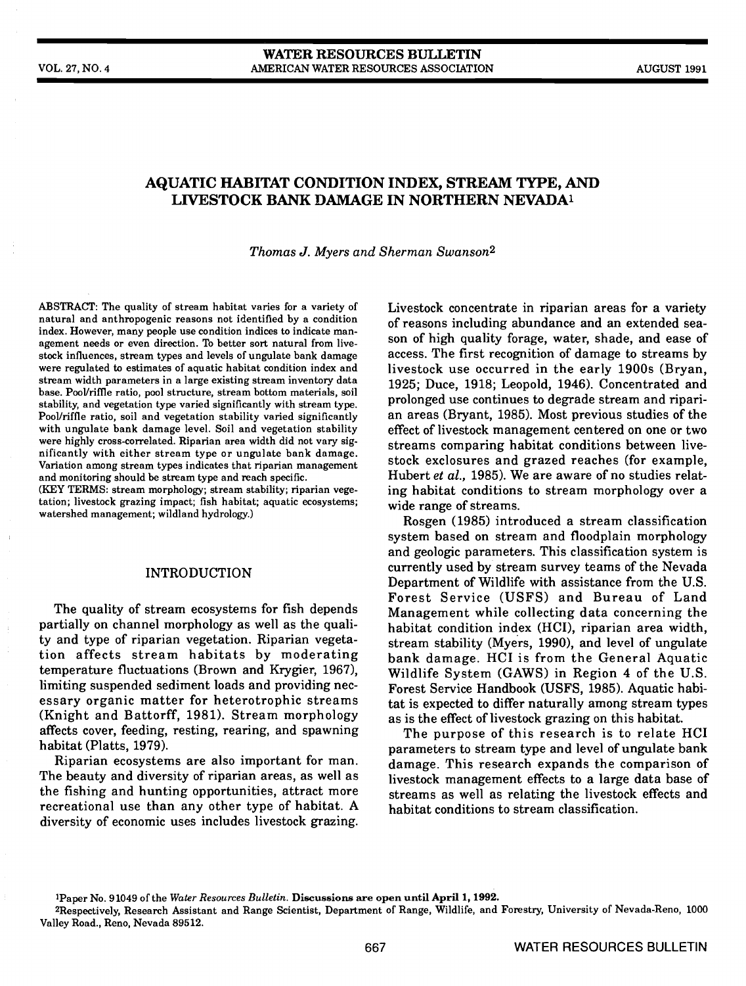# AQUATIC HABITAT CONDITION INDEX, STREAM TYPE, AND LWESTOCK BANK DAMAGE IN NORTHERN NEVADA'

Thomas J. Myers and Sherman Swanson2

ABSTRACT: The quality of stream habitat varies for a variety of natural and anthropogenic reasons not identified by a condition index. However, many people use condition indices to indicate management needs or even direction. To better sort natural from livestock influences, stream types and levels of ungulate bank damage were regulated to estimates of aquatic habitat condition index and stream width parameters in a large existing stream inventory data base. Pool/riffle ratio, pool structure, stream bottom materials, soil stability, and vegetation type varied significantly with stream type. with ungulate bank damage level. Soil and vegetation stability were highly cross-correlated. Riparian area width did not vary significantly with either stream type or ungulate bank damage. Variation among stream types indicates that riparian management and monitoring should be stream type and reach specific.

(KEY TERMS: stream morphology; stream stability; riparian vegetation; livestock grazing impact; fish habitat; aquatic ecosystems; watershed management; wildland hydrology.)

# INTRODUCTION

The quality of stream ecosystems for fish depends partially on channel morphology as well as the quali-<br>ty and type of riparian vegetation. Riparian vegetaty and type of riparian vegetation. Riparian vegeta-<br>tion affects stream habitats by moderating bank damage HCI is from the General Aquatic temperature fluctuations (Brown and Krygier, 1967), limiting suspended sediment loads and providing necessary organic matter for heterotrophic streams (Knight and Battorff, 1981). Stream morphology as is the effect of livestock grazing on this habitat. affects cover, feeding, resting, rearing, and spawning habitat (Platts, 1979).

Riparian ecosystems are also important for man. The beauty and diversity of riparian areas, as well as the fishing and hunting opportunities, attract more recreational use than any other type of habitat. A diversity of economic uses includes livestock grazing.

Livestock concentrate in riparian areas for a variety of reasons including abundance and an extended season of high quality forage, water, shade, and ease of access. The first recognition of damage to streams by livestock use occurred in the early 1900s (Bryan, 1925; Duce, 1918; Leopold, 1946). Concentrated and prolonged use continues to degrade stream and riparian areas (Bryant, 1985). Most previous studies of the effect of livestock management centered on one or two streams comparing habitat conditions between livestock exclosures and grazed reaches (for example, Hubert et al., 1985). We are aware of no studies relating habitat conditions to stream morphology over a wide range of streams.

Rosgen (1985) introduced a stream classification system based on stream and floodplain morphology and geologic parameters. This classification system is currently used by stream survey teams of the Nevada Department of Wildlife with assistance from the U.S. Forest Service (USFS) and Bureau of Land Management while collecting data concerning the habitat condition index (HCI), riparian area width, bank damage. HCI is from the General Aquatic Wildlife System (GAWS) in Region 4 of the U.S. Forest Service Handbook (USFS, 1985). Aquatic habitat is expected to differ naturally among stream types

The purpose of this research is to relate HCI parameters to stream type and level of ungulate bank damage. This research expands the comparison of livestock management effects to a large data base of streams as well as relating the livestock effects and habitat conditions to stream classification.

1Paper No. 91049 of the Water Resources Bulletin. Discussions are open until April 1, 1992.

<sup>2</sup>Respectively, Research Assistant and Range Scientist, Department of Range, Wildlife, and Forestry, University of Nevada-Reno, 1000 Valley Road., Reno, Nevada 89512.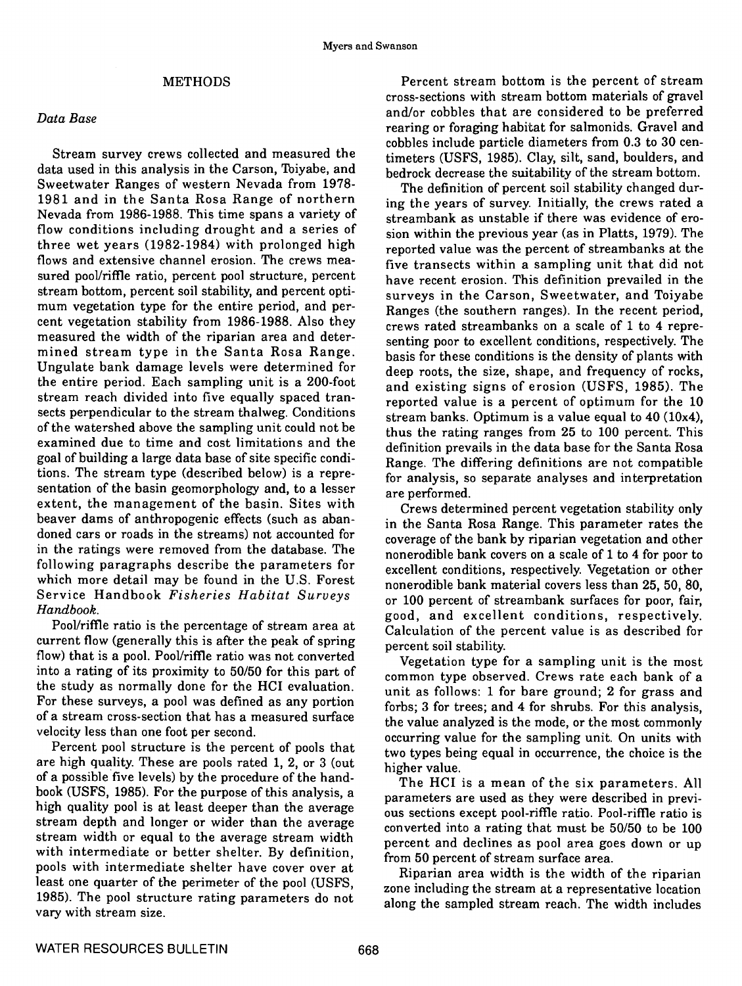# METHODS

### Data Base

Stream survey crews collected and measured the data used in this analysis in the Carson, Toiyabe, and Sweetwater Ranges of western Nevada from 1978- 1981 and in the Santa Rosa Range of northern Nevada from 1986-1988. This time spans a variety of flow conditions including drought and a series of three wet years (1982-1984) with prolonged high flows and extensive channel erosion. The crews measured pool/riffle ratio, percent pool structure, percent stream bottom, percent soil stability, and percent optistream bottom, percent soil stability, and percent opti-<br>mum vegetation type for the entire period, and per-<br>Ranges (the southern ranges). In the recent period cent vegetation stability from 1986-1988. Also they measured the width of the riparian area and deter- mined stream type in the Santa Rosa Range. Ungulate bank damage levels were determined for deep roots, the size, shape, and frequency of rocks. the entire period. Each sampling unit is a 200-foot stream reach divided into five equally spaced transects perpendicular to the stream thaiweg. Conditions of the watershed above the sampling unit could not be examined due to time and cost limitations and the goal of building a large data base of site specific conditions. The stream type (described below) is a representation of the basin geomorphology and, to a lesser extent, the management of the basin. Sites with beaver dams of anthropogenic effects (such as abandoned cars or roads in the streams) not accounted for in the ratings were removed from the database. The following paragraphs describe the parameters for which more detail may be found in the U.S. Forest Service Handbook Fisheries Habitat Surveys Handbook.

current flow (generally this is after the peak of spring  $\frac{1}{\sqrt{2}}$  percent soil stability. flow) that is a pool. Pool/riffle ratio was not converted into a rating of its proximity to 50/50 for this part of the study as normally done for the HCI evaluation. For these surveys, a pool was defined as any portion of a stream cross-section that has a measured surface velocity less than one foot per second.

Percent pool structure is the percent of pools that are high quality. These are pools rated 1, 2, or 3 (out higher value. of a possible five levels) by the procedure of the handbook (USFS, 1985). For the purpose of this analysis, a high quality pool is at least deeper than the average stream depth and longer or wider than the average stream width or equal to the average stream width with intermediate or better shelter. By definition, pools with intermediate shelter have cover over at least one quarter of the perimeter of the pool (USFS, 1985). The pooi structure rating parameters do not vary with stream size.

Percent stream bottom is the percent of stream cross-sections with stream bottom materials of gravel and/or cobbles that are considered to be preferred rearing or foraging habitat for salmonids. Gravel and cobbles include particle diameters from 0.3 to 30 centimeters (USFS, 1985). Clay, silt, sand, boulders, and bedrock decrease the suitability of the stream bottom.

The definition of percent soil stability changed during the years of survey. Initially, the crews rated a streambank as unstable if there was evidence of erosion within the previous year (as in Platts, 1979). The reported value was the percent of streambanks at the five transects within a sampling unit that did not have recent erosion. This definition prevailed in the Ranges (the southern ranges). In the recent period, crews rated streambanks on a scale of 1 to 4 representing poor to excellent conditions, respectively. The basis for these conditions is the density of plants with and existing signs of erosion (USFS, 1985). The reported value is a percent of optimum for the 10 stream banks. Optimum is a value equal to 40 (10x4), thus the rating ranges from 25 to 100 percent. This definition prevails in the data base for the Santa Rosa Range. The differing definitions are not compatible for analysis, so separate analyses and interpretation are performed.

 $\begin{array}{lll} \textit{max} & \textit{good, and excellent conditions, respectively.} \ \textit{Pool} & \textit{final} & \textit{excellent conditions, respectively.} \ \textit{Pool} & \textit{full} & \textit{final} & \textit{rel} & \textit{in} \ \textit{Pool} & \textit{full} & \textit{final} & \textit{final} & \textit{final} \end{array}$ Crews determined percent vegetation stability only in the Santa Rosa Range. This parameter rates the coverage of the bank by riparian vegetation and other nonerodible bank covers on a scale of 1 to 4 for poor to excellent conditions, respectively. Vegetation or other nonerodible bank material covers less than 25, 50, 80, or 100 percent of streambank surfaces for poor, fair, Calculation of the percent value is as described for

> Vegetation type for a sampling unit is the most common type observed. Crews rate each bank of a unit as follows: 1 for bare ground; 2 for grass and forbs; 3 for trees; and 4 for shrubs. For this analysis, the value analyzed is the mode, or the most commonly occurring value for the sampling unit. On units with two types being equal in occurrence, the choice is the

> The HCI is a mean of the six parameters. All parameters are used as they were described in previous sections except pool-riffle ratio. Pool-riffle ratio is converted into a rating that must be 50/50 to be 100 percent and declines as pooi area goes down or up from 50 percent of stream surface area.

> Riparian area width is the width of the riparian zone including the stream at a representative location along the sampled stream reach. The width includes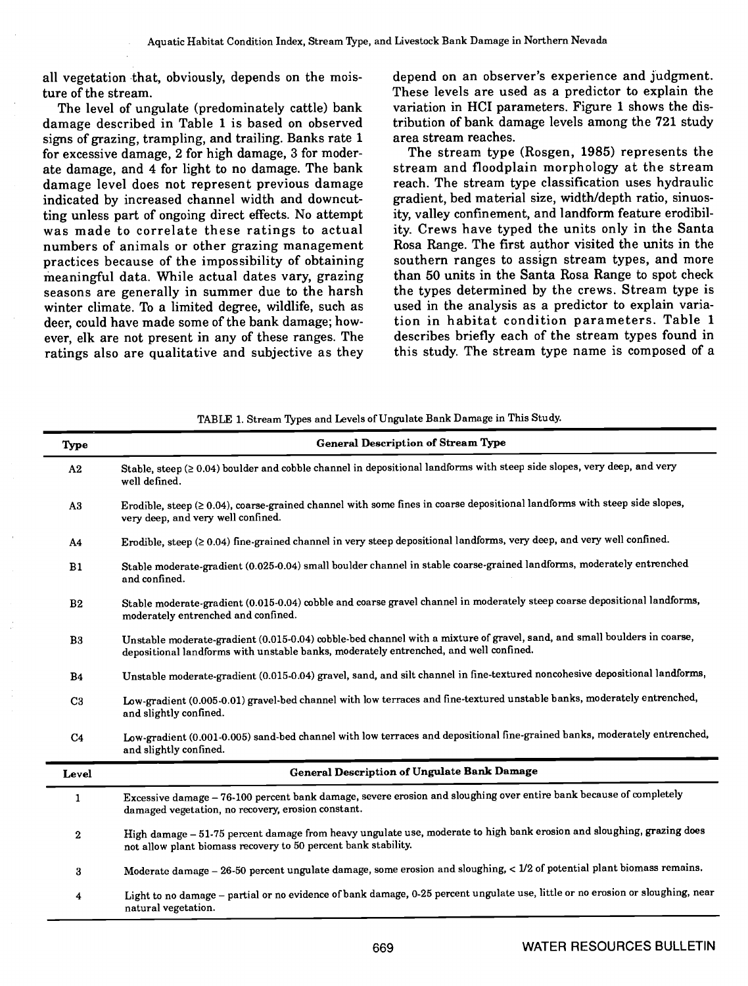all vegetation that, obviously, depends on the moisture of the stream.

The level of ungulate (predominately cattle) bank damage described in Table 1 is based on observed signs of grazing, trampling, and trailing. Banks rate 1 for excessive damage, 2 for high damage, 3 for moderate damage, and 4 for light to no damage. The bank damage level does not represent previous damage indicated by increased channel width and downcutting unless part of ongoing direct effects. No attempt was made to correlate these ratings to actual numbers of animals or other grazing management practices because of the impossibility of obtaining meaningful data. While actual dates vary, grazing seasons are generally in summer due to the harsh winter climate. To a limited degree, wildlife, such as deer, could have made some of the bank damage; however, elk are not present in any of these ranges. The ratings also are qualitative and subjective as they

depend on an observer's experience and judgment. These levels are used as a predictor to explain the variation in HCI parameters. Figure 1 shows the distribution of bank damage levels among the 721 study area stream reaches.

The stream type (Rosgen, 1985) represents the stream and floodplain morphology at the stream reach. The stream type classification uses hydraulic gradient, bed material size, width/depth ratio, sinuosity, valley confinement, and landform feature erodibility. Crews have typed the units only in the Santa Rosa Range. The first author visited the units in the southern ranges to assign stream types, and more than 50 units in the Santa Rosa Range to spot check the types determined by the crews. Stream type is used in the analysis as a predictor to explain variation in habitat condition parameters. Table 1 describes briefly each of the stream types found in this study. The stream type name is composed of a

| Type             | <b>General Description of Stream Type</b>                                                                                                                                                                         |
|------------------|-------------------------------------------------------------------------------------------------------------------------------------------------------------------------------------------------------------------|
| A2               | Stable, steep $(≥ 0.04)$ boulder and cobble channel in depositional landforms with steep side slopes, very deep, and very<br>well defined.                                                                        |
| A3               | Erodible, steep $(≥ 0.04)$ , coarse-grained channel with some fines in coarse depositional landforms with steep side slopes,<br>very deep, and very well confined.                                                |
| A4               | Erodible, steep $(20.04)$ fine-grained channel in very steep depositional landforms, very deep, and very well confined.                                                                                           |
| B1               | Stable moderate-gradient (0.025-0.04) small boulder channel in stable coarse-grained landforms, moderately entrenched<br>and confined.                                                                            |
| B <sub>2</sub>   | Stable moderate-gradient (0.015-0.04) cobble and coarse gravel channel in moderately steep coarse depositional landforms,<br>moderately entrenched and confined.                                                  |
| B3               | Unstable moderate-gradient (0.015-0.04) cobble-bed channel with a mixture of gravel, sand, and small boulders in coarse,<br>depositional landforms with unstable banks, moderately entrenched, and well confined. |
| <b>B4</b>        | Unstable moderate-gradient (0.015-0.04) gravel, sand, and silt channel in fine-textured noncohesive depositional landforms,                                                                                       |
| C <sub>3</sub>   | Low-gradient (0.005-0.01) gravel-bed channel with low terraces and fine-textured unstable banks, moderately entrenched,<br>and slightly confined.                                                                 |
| C <sub>4</sub>   | Low-gradient (0.001-0.005) sand-bed channel with low terraces and depositional fine-grained banks, moderately entrenched,<br>and slightly confined.                                                               |
| Level            | General Description of Ungulate Bank Damage                                                                                                                                                                       |
| $\mathbf{1}$     | Excessive damage - 76-100 percent bank damage, severe erosion and sloughing over entire bank because of completely<br>damaged vegetation, no recovery, erosion constant.                                          |
| $\boldsymbol{2}$ | High damage - 51-75 percent damage from heavy ungulate use, moderate to high bank erosion and sloughing, grazing does<br>not allow plant biomass recovery to 50 percent bank stability.                           |
| 3                | Moderate damage - 26-50 percent ungulate damage, some erosion and sloughing, < 1/2 of potential plant biomass remains.                                                                                            |
| 4                | Light to no damage - partial or no evidence of bank damage, 0-25 percent ungulate use, little or no erosion or sloughing, near<br>natural vegetation.                                                             |

TABLE 1. Stream Types and Levels of Ungulate Bank Damage in This Study.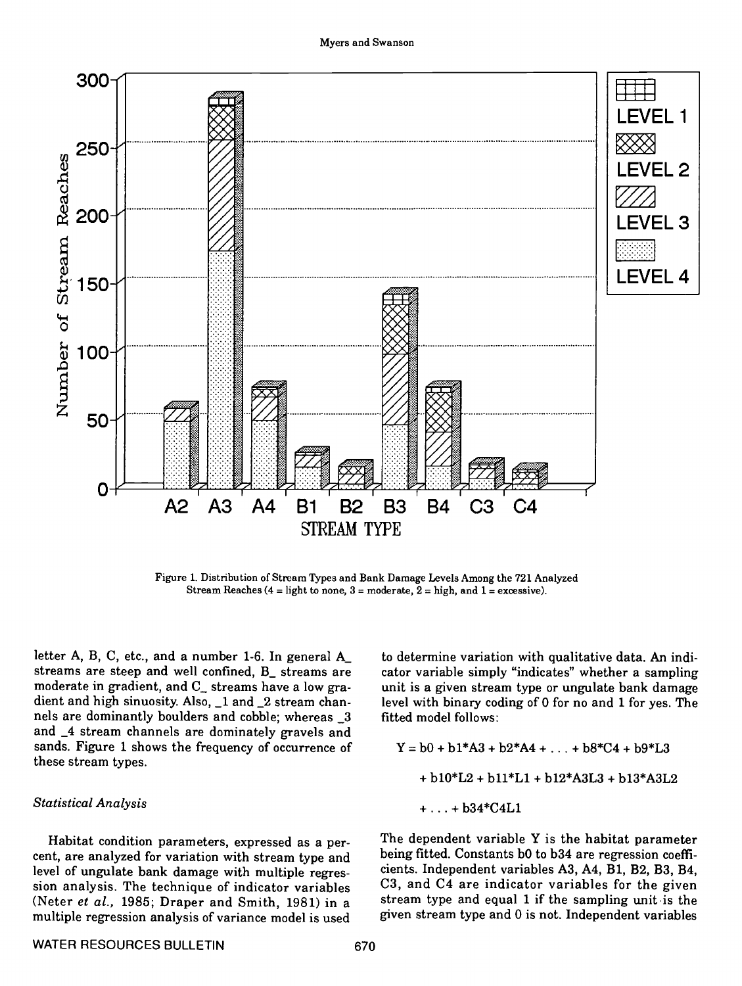

Figure 1. Distribution of Stream Types and Bank Damage Levels Among the 721 Analyzed Stream Reaches (4 = light to none, 3 = moderate,  $2$  = high, and 1 = excessive).

letter A, B, C, etc., and a number 1-6. In general A\_ streams are steep and well confined, B\_ streams are moderate in gradient, and C\_ streams have a low gradient and high sinuosity. Also, \_1 and \_2 stream channels are dominantly boulders and cobble; whereas \_3 and  $\angle$ 4 stream channels are dominately gravels and<br>sands. Figure 1 shows the frequency of occurrence of sands. Figure 1 shows the frequency of occurrence of these stream types.

# Statistical Analysis

Habitat condition parameters, expressed as a percent, are analyzed for variation with stream type and being fitted. Constants b0 to b34 are regression coeffi-<br>level of ungulate bank damage with multiple regres. cients. Independent variables A3, A4, B1, B2, B3, B4, level of ungulate bank damage with multiple regression analysis. The technique of indicator variables (Neter et al., 1985; Draper and Smith, 1981) in a multiple regression analysis of variance model is used

to determine variation with qualitative data. An indicator variable simply "indicates" whether a sampling unit is a given stream type or ungulate bank damage level with binary coding of 0 for no and 1 for yes. The fitted model follows:

$$
Y = b0 + b1*A3 + b2*A4 + ... + b8*C4 + b9*L3
$$
  
+ b10\*L2 + b11\*L1 + b12\*A3L3 + b13\*A3L2  
+ ... + b34\*C4L1

The dependent variable Y is the habitat parameter being fitted. Constants bO to b34 are regression coeffi-C3, and C4 are indicator variables for the given stream type and equal 1 if the sampling unit is the given stream type and 0 is not. Independent variables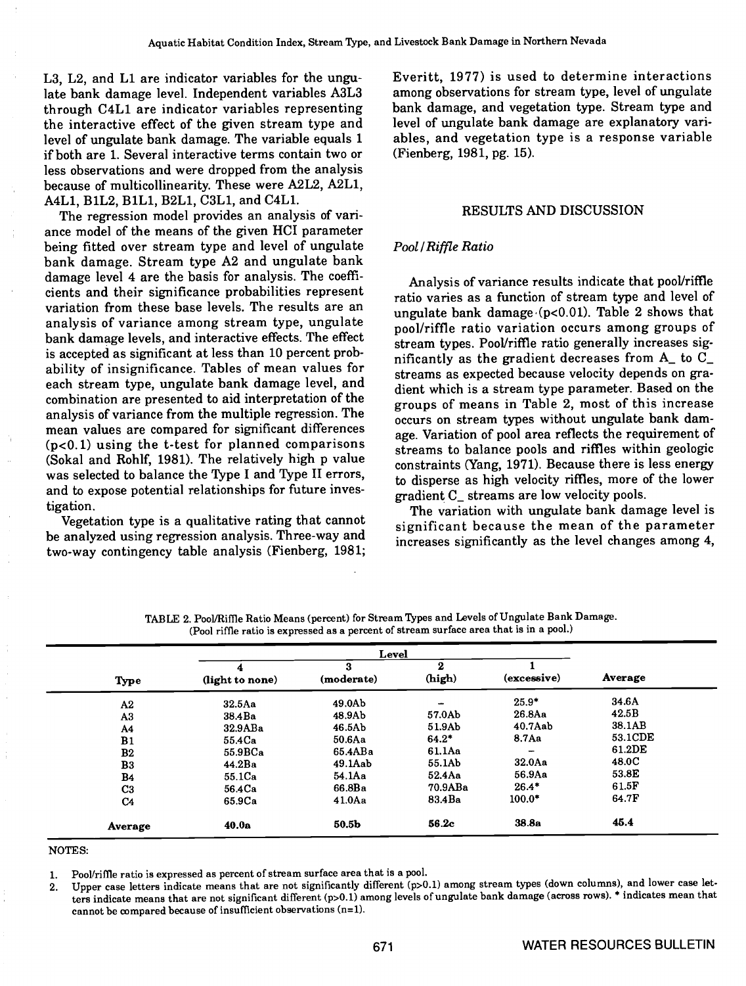L3, L2, and Li are indicator variables for the ungulate bank damage level. Independent variables A3L3 through C4Li are indicator variables representing the interactive effect of the given stream type and level of ungulate bank damage. The variable equals 1 if both are 1. Several interactive terms contain two or less observations and were dropped from the analysis because of multicollinearity. These were A2L2, A2L1, A4Li, BiL2, BiLl, B2Li, C3Li, and C4Li.

The regression model provides an analysis of variance model of the means of the given HCI parameter being fitted over stream type and level of ungulate bank damage. Stream type A2 and ungulate bank damage level 4 are the basis for analysis. The coefficients and their significance probabilities represent variation from these base levels. The results are an analysis of variance among stream type, ungulate bank damage levels, and interactive effects. The effect is accepted as significant at less than 10 percent probability of insignificance. Tables of mean values for each stream type, ungulate bank damage level, and combination are presented to aid interpretation of the analysis of variance from the multiple regression. The mean values are compared for significant differences  $(p<0.1)$  using the t-test for planned comparisons (Sokal and Rohlf, 1981). The relatively high p value was selected to balance the Type I and Type II errors, and to expose potential relationships for future inves-

tigation. Vegetation type is a qualitative rating that cannot be analyzed using regression analysis. Three-way and two-way contingency table analysis (Fienberg, 1981;

Everitt, 1977) is used to determine interactions among observations for stream type, level of ungulate bank damage, and vegetation type. Stream type and level of ungulate bank damage are explanatory variables, and vegetation type is a response variable (Fienberg, 1981, pg. 15).

### RESULTS AND DISCUSSION

### Pool/Riffle Ratio

Analysis of variance results indicate that pool/riffle ratio varies as a function of stream type and level of ungulate bank damage  $(p<0.01)$ . Table 2 shows that pool/riffle ratio variation occurs among groups of stream types. Pool/riffle ratio generally increases significantly as the gradient decreases from A\_ to C\_ streams as expected because velocity depends on gradient which is a stream type parameter. Based on the groups of means in Table 2, most of this increase occurs on stream types without ungulate bank damage. Variation of pool area reflects the requirement of streams to balance pools and riffles within geologic constraints (Yang, 1971). Because there is less energy to disperse as high velocity riffles, more of the lower gradient C\_ streams are low velocity pools.<br>The variation with ungulate bank damage level is

significant because the mean of the parameter increases significantly as the level changes among 4,

|                |                 | Level           |             |             |         |
|----------------|-----------------|-----------------|-------------|-------------|---------|
| Type           | (light to none) | з<br>(moderate) | 2<br>(high) | (excessive) | Average |
| A2             | 32.5Aa          | 49.0Ab          |             | $25.9*$     | 34.6A   |
| A3             | 38.4Ba          | 48.9Ab          | 57.0Ab      | 26.8Aa      | 42.5B   |
| A4             | 32.9ABa         | 46.5Ab          | 51.9Ab      | $40.7$ Aab  | 38.1AB  |
| B1             | 55.4Ca          | 50.6Aa          | $64.2*$     | 8.7Aa       | 53.1CDE |
| B2             | 55.9BCa         | 65.4ABa         | 61.1Aa      |             | 61.2DE  |
| B3             | 44.2Ba          | $49.1$ Aab      | 55.1Ab      | 32.0Aa      | 48.0C   |
| <b>B4</b>      | 55.1Ca          | 54.1Aa          | 52.4Aa      | 56.9Aa      | 53.8E   |
| C <sub>3</sub> | 56.4Ca          | 66.8Ba          | 70.9ABa     | $26.4*$     | 61.5F   |
| C <sub>4</sub> | 65.9Ca          | 41.0Aa          | 83.4Ba      | $100.0*$    | 64.7F   |
| Average        | 40.0a           | 50.5b           | 56.2c       | 38.8a       | 45.4    |

TABLE 2. Pool/Riffle Ratio Means (percent) for Stream Types and Levels of Ungulate Bank Damage. (Pool riffle ratio is expressed as a percent of stream surface area that is in a pool.)

#### NOTES:

1. Pool/riffle ratio is expressed as percent of stream surface area that is a pool.

2. Upper case letters indicate means that are not significantly different (p>O.l) among stream types (down columns), and lower case letters indicate means that are not significant different (p>O.l) among levels of ungulate bank damage (across rows). \* indicates mean that cannot be compared because of insufficient observations (n=1).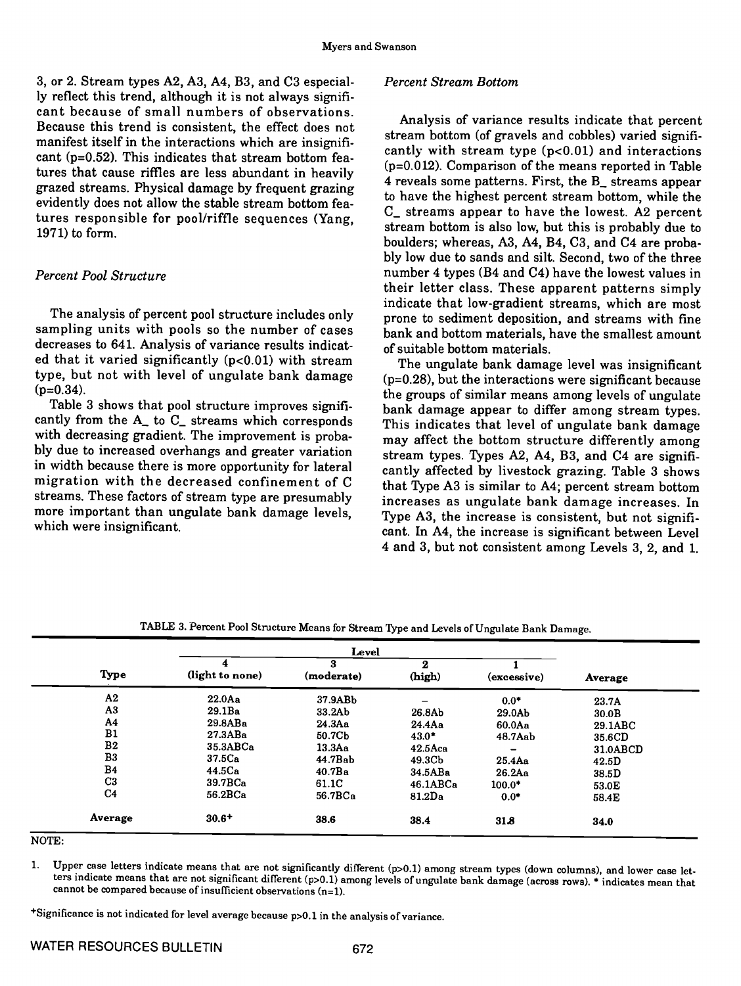3, or 2. Stream types A2, A3, A4, B3, and C3 especially reflect this trend, although it is not always signifi- cant because of small numbers of observations. Because this trend is consistent, the effect does not manifest itself in the interactions which are insignificant  $(p=0.52)$ . This indicates that stream bottom features that cause riffles are less abundant in heavily grazed streams. Physical damage by frequent grazing evidently does not allow the stable stream bottom features responsible for pool/riffle sequences (Yang, 1971) to form.

# Percent Pool Structure

The analysis of percent pooi structure includes only sampling units with pools so the number of cases decreases to 641. Analysis of variance results indicated that it varied significantly  $(p<0.01)$  with stream type, but not with level of ungulate bank damage  $(p=0.34)$ .

Table 3 shows that pool structure improves significantly from the A\_ to C\_ streams which corresponds This indicates that level of ungulate bank damage with decreasing gradient. The improvement is probably due to increased overhangs and greater variation in width because there is more opportunity for lateral migration with the decreased confinement of C streams. These factors of stream type are presumably more important than ungulate bank damage levels, which were insignificant.

# Percent Stream Bottom

Analysis of variance results indicate that percent stream bottom (of gravels and cobbles) varied significantly with stream type  $(p<0.01)$  and interactions (p=O.0l2). Comparison of the means reported in Table 4 reveals some patterns. First, the B\_ streams appear to have the highest percent stream bottom, while the C\_ streams appear to have the lowest. A2 percent stream bottom is also low, but this is probably due to boulders; whereas, A3, A4, B4, C3, and C4 are probably low due to sands and silt. Second, two of the three number 4 types (B4 and C4) have the lowest values in their letter class. These apparent patterns simply indicate that low-gradient streams, which are most prone to sediment deposition, and streams with fine bank and bottom materials, have the smallest amount of suitable bottom materials.

The ungulate bank damage level was insignificant (p=O.28), but the interactions were significant because the groups of similar means among levels of ungulate bank damage appear to differ among stream types. may affect the bottom structure differently among stream types. Types A2, A4, B3, and C4 are significantly affected by livestock grazing. Table 3 shows that Type A3 is similar to A4; percent stream bottom increases as ungulate bank damage increases. In Type A3, the increase is consistent, but not significant. In A4, the increase is significant between Level 4 and 3, but not consistent among Levels 3, 2, and 1.

|                | Level              |                 |                    |             |                   |
|----------------|--------------------|-----------------|--------------------|-------------|-------------------|
| Type           | (light to none)    | я<br>(moderate) | $\bf{2}$<br>(high) | (excessive) | Average           |
| A2             | $22.0$ Aa          | 37.9ABb         |                    | $0.0*$      | 23.7A             |
| A3             | 29.1Ba             | 33.2Ab          | 26.8Ab             | 29.0Ab      | 30.0 <sub>B</sub> |
| A4             | 29.8ABa            | 24.3Aa          | 24.4Aa             | 60.0Aa      | 29.1ABC           |
| B1             | 27.3ABa            | 50.7Cb          | $43.0*$            | 48.7Aab     | 35.6CD            |
| B <sub>2</sub> | 35.3ABCa           | 13.3Aa          | $42.5$ Aca         |             | 31.0ABCD          |
| B <sub>3</sub> | 37.5 <sub>Ca</sub> | 44.7Bab         | 49.3Cb             | $25.4$ Aa   | 42.5D             |
| <b>B4</b>      | 44.5 <sub>Ca</sub> | 40.7Ba          | 34.5ABa            | 26.2Aa      | 38.5D             |
| C <sub>3</sub> | 39.7BCa            | 61.1C           | 46.1ABCa           | $100.0*$    | 53.0E             |
| C <sub>4</sub> | 56.2BCa            | 56.7BCa         | $81.2\text{Da}$    | $0.0*$      | 58.4E             |
| Average        | $30.6+$            | 38.6            | 38.4               | 31.8        | 34.0              |

TABLE 3. Percent Pool Structure Means for Stream 1ype and Levels of Ungulate Bank Damage.

NOTE:

1. Upper case letters indicate means that are not significantly different (p>O.l) among stream types (down columns), and lower case letters indicate means that are not significant different (p>O.l) among levels of ungulate bank damage (across rows). \* indicates mean that cannot be compared because of insufficient observations (n=1).

+Significance is not indicated for level average because p>0.1 in the analysis of variance.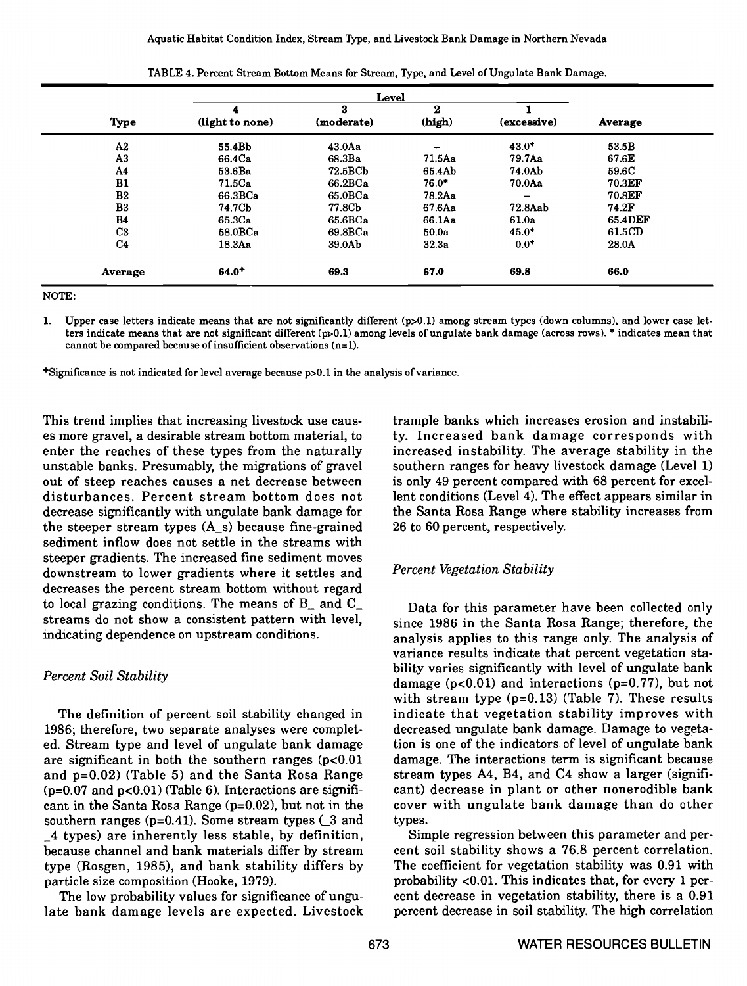|                |                    | Level      |          |                 |                |  |
|----------------|--------------------|------------|----------|-----------------|----------------|--|
|                | 4                  | 3          | $\bf{2}$ |                 |                |  |
| <b>Type</b>    | (light to none)    | (moderate) | (high)   | (excessive)     | <b>Average</b> |  |
| A2             | 55.4Bb             | $43.0$ Aa  |          | $43.0*$         | 53.5B          |  |
| A <sub>3</sub> | 66.4Ca             | 68.3Ba     | 71.5Aa   | 79.7Aa          | 67.6E          |  |
| A4             | 53.6Ba             | 72.5BCb    | 65.4Ab   | 74.0Ab          | 59.6C          |  |
| B1             | 71.5 <sub>Ca</sub> | 66.2BCa    | $76.0*$  | 70.0Aa          | 70.3EF         |  |
| B <sub>2</sub> | 66.3BCa            | 65.0BCa    | 78.2Aa   | $\qquad \qquad$ | 70.8EF         |  |
| B <sub>3</sub> | 74.7Cb             | 77.8Cb     | 67.6Aa   | 72.8Aab         | 74.2F          |  |
| <b>B4</b>      | 65.3Ca             | 65.6BCa    | 66.1Aa   | 61.0a           | 65.4DEF        |  |
| C <sub>3</sub> | 58.0BCa            | 69.8BCa    | 50.0a    | $45.0*$         | 61.5CD         |  |
| C <sub>4</sub> | 18.3Aa             | 39.0Ab     | 32.3a    | $0.0*$          | 28.0A          |  |
| Average        | $64.0^{+}$         | 69.3       | 67.0     | 69.8            | 66.0           |  |

| TABLE 4. Percent Stream Bottom Means for Stream, Type, and Level of Ungulate Bank Damage. |
|-------------------------------------------------------------------------------------------|
|-------------------------------------------------------------------------------------------|

NOTE:

1. Upper case letters indicate means that are not significantly different (p>O.l) among stream types (down columns), and lower case letters indicate means that are not significant different  $(p\ge 0.1)$  among levels of ungulate bank damage (across rows).  $*$  indicates mean that cannot be compared because of insufficient observations (n=1).

+Signifjcance is not indicated for level average because p>0.1 in the analysis of variance.

This trend implies that increasing livestock use causes more gravel, a desirable stream bottom material, to enter the reaches of these types from the naturally unstable banks. Presumably, the migrations of gravel out of steep reaches causes a net decrease between disturbances. Percent stream bottom does not decrease significantly with ungulate bank damage for the steeper stream types (A\_s) because fine-grained sediment inflow does not settle in the streams with steeper gradients. The increased fine sediment moves downstream to lower gradients where it settles and decreases the percent stream bottom without regard to local grazing conditions. The means of B\_ and C\_ streams do not show a consistent pattern with level, indicating dependence on upstream conditions.

# Percent Soil Stability

The definition of percent soil stability changed in 1986; therefore, two separate analyses were complet- ed. Stream type and level of ungulate bank damage are significant in both the southern ranges  $(p<0.01)$ and  $p=0.02$ ) (Table 5) and the Santa Rosa Range stream types A4, B4, and C4 show a larger (signifi-<br>( $p=0.07$  and  $p<0.01$ ) (Table 6). Interactions are signifi- cant) decrease in plant or other nonerodible bank  $(p=0.07$  and  $p<0.01$ ) (Table 6). Interactions are significant in the Santa Rosa Range  $(p=0.02)$ , but not in the southern ranges ( $p=0.41$ ). Some stream types ( $\angle 3$  and types.<br>4 types) are inherently less stable, by definition, Simple regression between this parameter and per- $\pm 4$  types) are inherently less stable, by definition, because channel and bank materials differ by stream type (Rosgen, 1985), and bank stability differs by particle size composition (Hooke, 1979).

The low probability values for significance of ungulate bank damage levels are expected. Livestock

trample banks which increases erosion and instability. Increased bank damage corresponds with increased instability. The average stability in the southern ranges for heavy livestock damage (Level 1) is only 49 percent compared with 68 percent for excellent conditions (Level 4). The effect appears similar in the Santa Rosa Range where stability increases from 26 to 60 percent, respectively.

# Percent Vegetation Stability

Data for this parameter have been collected only since 1986 in the Santa Rosa Range; therefore, the variance results indicate that percent vegetation stability varies significantly with level of ungulate bank damage ( $p<0.01$ ) and interactions ( $p=0.77$ ), but not with stream type (p=0.l3) (Table 7). These results indicate that vegetation stability improves with decreased ungulate bank damage. Damage to vegetation is one of the indicators of level of ungulate bank damage. The interactions term is significant because stream types A4, B4, and C4 show a larger (significover with ungulate bank damage than do other types.

cent soil stability shows a 76.8 percent correlation. The coefficient for vegetation stability was 0.91 with probability <0.01. This indicates that, for every 1 percent decrease in vegetation stability, there is a 0.91 percent decrease in soil stability. The high correlation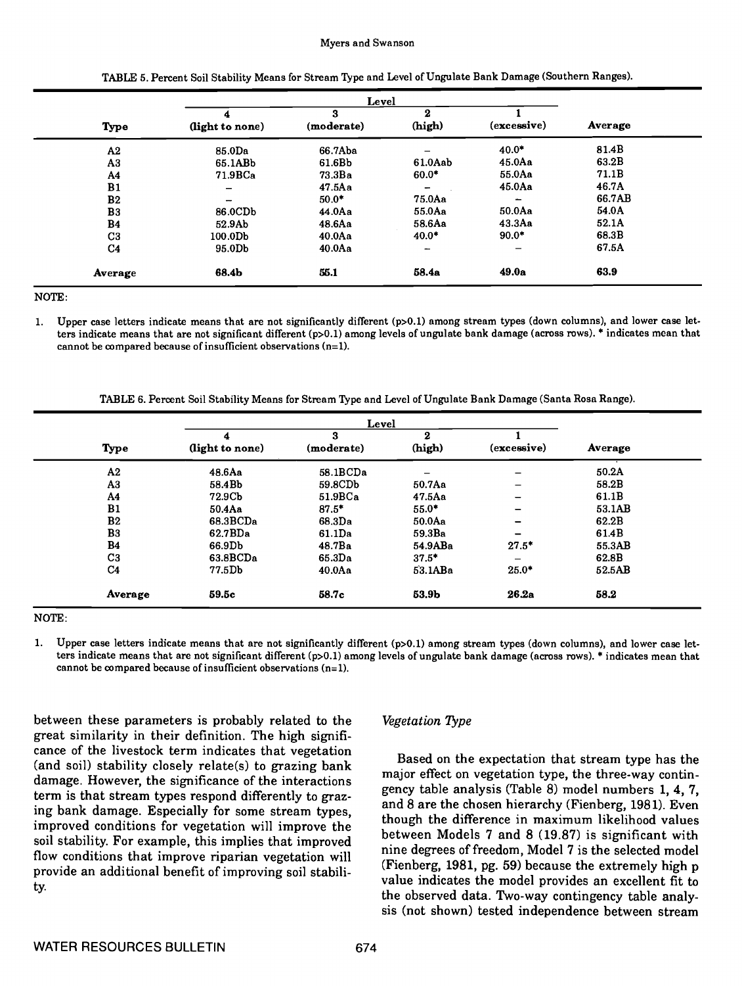#### Myers and Swanson

|                |                          | Level           |                          |                          |         |  |  |
|----------------|--------------------------|-----------------|--------------------------|--------------------------|---------|--|--|
| <b>Type</b>    | 4<br>(light to none)     | 3<br>(moderate) | 2<br>(high)              | (excessive)              | Average |  |  |
| A2             | 85.0Da                   | 66.7Aba         |                          | $40.0*$                  | 81.4B   |  |  |
| A3             | 65.1ABb                  | 61.6Bb          | 61.0Aab                  | $45.0$ Aa                | 63.2B   |  |  |
| A4             | 71.9BCa                  | 73.3Ba          | $60.0*$                  | 55.0Aa                   | 71.1B   |  |  |
| B1             | $\overline{\phantom{0}}$ | 47.5Aa          | $\overline{\phantom{m}}$ | $45.0$ Aa                | 46.7A   |  |  |
| B <sub>2</sub> | -                        | $50.0*$         | 75.0Aa                   | $\overline{\phantom{m}}$ | 66.7AB  |  |  |
| B <sub>3</sub> | 86.0CDb                  | $44.0$ Aa       | 55.0Aa                   | 50.0Aa                   | 54.0A   |  |  |
| B4             | 52.9Ab                   | 48.6Aa          | 58.6Aa                   | 43.3Aa                   | 52.1A   |  |  |
| C3             | 100.0Db                  | $40.0$ Aa       | $40.0*$                  | $90.0*$                  | 68.3B   |  |  |
| C <sub>4</sub> | 95.0Db                   | $40.0$ Aa       | -                        | -                        | 67.5A   |  |  |
| Average        | 68.4b                    | 55.1            | 58.4a                    | 49.0a                    | 63.9    |  |  |

TABLE 5. Percent Soil Stability Means for Stream Type and Level of Ungulate Bank Damage (Southern Ranges).

NOTE:

Upper case letters indicate means that are not significantly different (p>O.l) among stream types (down columns), and lower case let- $\mathbf{1}$ ters indicate means that are not significant different (p>O.1) among levels of ungulate bank damage (across rows). \* indicates mean that cannot be compared because of insufficient observations  $(n=1)$ .

TABLE 6. Percent Soil Stability Means for Stream Type and Level of Ungulate Bank Damage (Santa Rosa Range).

|                | Level           |                    |           |                          |         |  |
|----------------|-----------------|--------------------|-----------|--------------------------|---------|--|
|                | 4               | з                  | 2         |                          |         |  |
| Type           | (light to none) | (moderate)         | (high)    | (excessive)              | Average |  |
| A2             | 48.6Aa          | 58.1BCDa           | -         | $\overline{\phantom{m}}$ | 50.2A   |  |
| A3             | 58.4Bb          | 59.8CDb            | $50.7$ Aa |                          | 58.2B   |  |
| A <sub>4</sub> | 72.9Cb          | 51.9BCa            | 47.5Aa    |                          | 61.1B   |  |
| B1             | 50.4Aa          | $87.5*$            | $55.0*$   | $\overline{\phantom{0}}$ | 53.1AB  |  |
| B <sub>2</sub> | 68.3BCDa        | 68.3Da             | $50.0$ Aa | -                        | 62.2B   |  |
| B <sub>3</sub> | 62.7BDa         | 61.1Da             | 59.3Ba    | -                        | 61.4B   |  |
| <b>B4</b>      | 66.9Db          | 48.7Ba             | 54.9ABa   | $27.5*$                  | 55.3AB  |  |
| C <sub>3</sub> | 63.8BCDa        | 65.3 <sub>Da</sub> | $37.5*$   |                          | 62.8B   |  |
| C <sub>4</sub> | 77.5Db          | $40.0$ Aa          | 53.1ABa   | $25.0*$                  | 52.5AB  |  |
| Average        | 59.5c           | 58.7c              | 53.9b     | 26.2a                    | 58.2    |  |

NOTE:

1. Upper case letters indicate means that are not significantly different (p>O.l) among stream types (down columns), and lower case letters indicate means that are not significant different (p>O.l) among levels of ungulate bank damage (across rows). \* indicates mean that cannot be compared because of insufficient observations  $(n=1)$ .

between these parameters is probably related to the great similarity in their definition. The high significance of the livestock term indicates that vegetation (and soil) stability closely relate(s) to grazing bank damage. However, the significance of the interactions term is that stream types respond differently to grazing bank damage. Especially for some stream types, improved conditions for vegetation will improve the soil stability. For example, this implies that improved flow conditions that improve riparian vegetation will<br>resolutions (Fienberg, 1981, pg. 59) because the extremely high p<br>provide an additional baseful for extremely intensity (Fienberg, 1981, pg. 59) because the extremely h provide an additional benefit of improving soil stability.

# Vegetation 7ype

Based on the expectation that stream type has the major effect on vegetation type, the three-way contingency table analysis (Table 8) model numbers 1, 4, 7, and 8 are the chosen hierarchy (Fienberg, 1981). Even though the difference in maximum likelihood values between Models 7 and 8 (19.87) is significant with nine degrees of freedom, Model 7 is the selected model value indicates the model provides an excellent fit to the observed data. Two-way contingency table analysis (not shown) tested independence between stream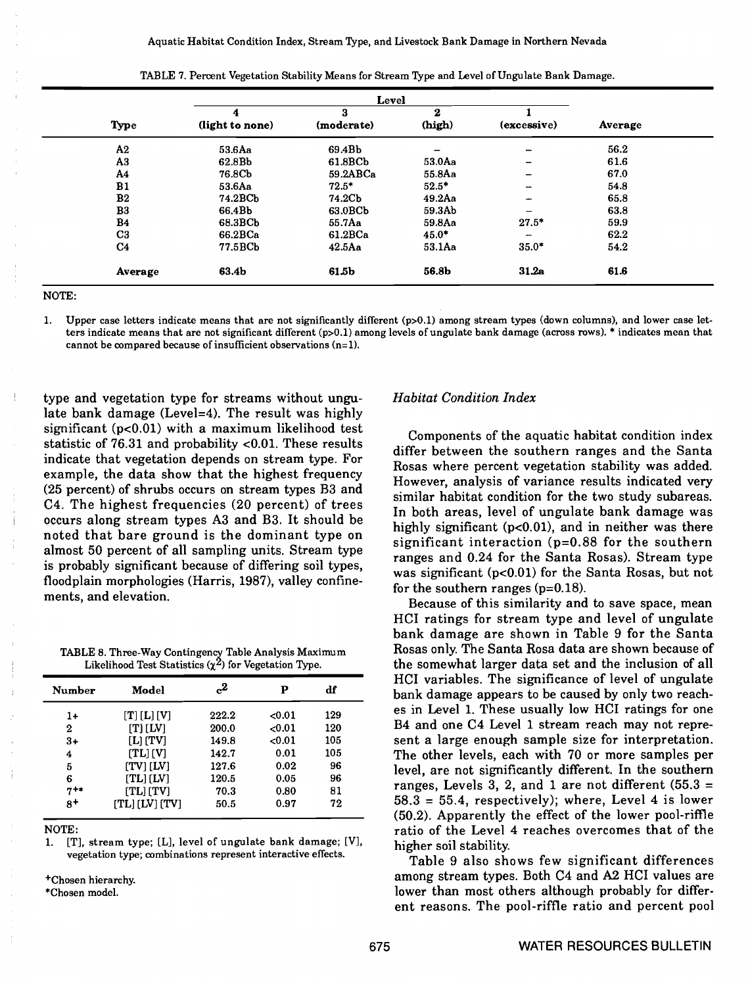|                |                 | Level      |          |                          |         |  |
|----------------|-----------------|------------|----------|--------------------------|---------|--|
|                | 4               | 3          | $\bf{2}$ |                          |         |  |
| Type           | (light to none) | (moderate) | (high)   | (excessive)              | Average |  |
| A2             | 53.6Aa          | 69.4Bb     | -        | -                        | 56.2    |  |
| A3             | 62.8Bb          | 61.8BCb    | 53.0Aa   | -                        | 61.6    |  |
| A4             | 76.8Cb          | 59.2ABCa   | 55.8Aa   | $\overline{\phantom{0}}$ | 67.0    |  |
| B1             | 53.6Aa          | $72.5*$    | $52.5*$  | $\overline{\phantom{a}}$ | 54.8    |  |
| B <sub>2</sub> | 74.2BCb         | 74.2Cb     | 49.2Aa   | -                        | 65.8    |  |
| B <sub>3</sub> | 66.4Bb          | 63.0BCb    | 59.3Ab   |                          | 63.8    |  |
| B <sub>4</sub> | 68.3BCb         | 55.7Aa     | 59.8Aa   | $27.5*$                  | 59.9    |  |
| C <sub>3</sub> | 66.2BCa         | 61.2BCa    | $45.0*$  | $\overline{\phantom{0}}$ | 62.2    |  |
| C <sub>4</sub> | 77.5BCb         | $42.5$ Aa  | 53.1Aa   | $35.0*$                  | 54.2    |  |
| Average        | 63.4b           | 61.5b      | 56.8b    | 31.2a                    | 61.6    |  |

TABLE 7. Percent Vegetation Stability Means for Stream Type and Level of Ungulate Bank Damage.

NOTE:

1. Upper case letters indicate means that are not significantly different (p>O.l) among stream types (down columns), and lower case let. ters indicate means that are not significant different (p>0.1) among levels of ungulate bank damage (across rows). \* indicates mean that cannot be compared because of insufficient observations (n=1).

type and vegetation type for streams without ungulate bank damage (Level=4). The result was highly significant  $(p<0.01)$  with a maximum likelihood test statistic of 76.31 and probability <0.01. These results indicate that vegetation depends on stream type. For example, the data show that the highest frequency (25 percent) of shrubs occurs on stream types B3 and C4. The highest frequencies (20 percent) of trees occurs along stream types A3 and B3. It should be noted that bare ground is the dominant type on almost 50 percent of all sampling units. Stream type is probably significant because of differing soil types, floodplain morphologies (Harris, 1987), valley confine- ments, and elevation.

TABLE 8. Three-Way Contingency Table Analysis Maximum Likelihood Test Statistics  $(\chi^2)$  for Vegetation Type.

| Number   | Model          | $c^2$ | Р    | df  |
|----------|----------------|-------|------|-----|
| 1+       | [T] [L] [V]    | 222.2 | 0.01 | 129 |
| 2        | $[T]$ $[IV]$   | 200.0 | 0.01 | 120 |
| $3+$     | $[L]$ $[TV]$   | 149.8 | 0.01 | 105 |
| 4        | [TL][V]        | 142.7 | 0.01 | 105 |
| 5        | [TV][LV]       | 127.6 | 0.02 | 96  |
| 6        | [TL] [LV]      | 120.5 | 0.05 | 96  |
| $7^{+*}$ | [TL][TV]       | 70.3  | 0.80 | 81  |
| $8+$     | [TL] [LV] [TV] | 50.5  | 0.97 | 72  |

#### NOTE:

[T], stream type; [L], level of ungulate bank damage; [V], vegetation type; combinations represent interactive effects.

+Chosen hierarchy.

\*Chosen model.

### Habitat Condition Index

Components of the aquatic habitat condition index differ between the southern ranges and the Santa Rosas where percent vegetation stability was added. However, analysis of variance results indicated very similar habitat condition for the two study subareas. In both areas, level of ungulate bank damage was highly significant  $(p<0.01)$ , and in neither was there significant interaction (p=0.88 for the southern ranges and 0.24 for the Santa Rosas). Stream type was significant  $(p<0.01)$  for the Santa Rosas, but not for the southern ranges  $(p=0.18)$ .

Because of this similarity and to save space, mean HCI ratings for stream type and level of ungulate bank damage are shown in Table 9 for the Santa Rosas only. The Santa Rosa data are shown because of the somewhat larger data set and the inclusion of all HCI variables. The significance of level of ungulate bank damage appears to be caused by only two reaches in Level 1. These usually low HCI ratings for one B4 and one C4 Level 1 stream reach may not represent a large enough sample size for interpretation. The other levels, each with 70 or more samples per level, are not significantly different. In the southern ranges, Levels 3, 2, and 1 are not different  $(55.3 =$  $58.3 = 55.4$ , respectively); where, Level 4 is lower (50.2). Apparently the effect of the lower pool-riffle ratio of the Level 4 reaches overcomes that of the higher soil stability. Table 9 also shows few significant differences

among stream types. Both C4 and A2 HCI values are lower than most others although probably for different reasons. The pool-riffle ratio and percent pool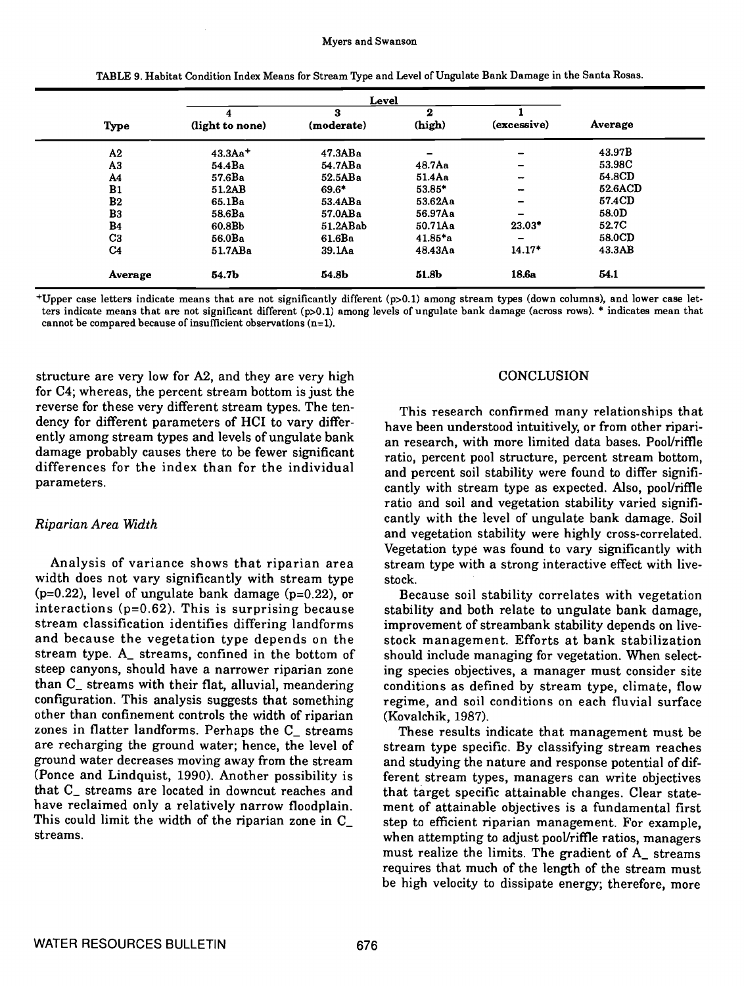|                |                 | Level           |             |                          |         |
|----------------|-----------------|-----------------|-------------|--------------------------|---------|
| <b>Type</b>    | (light to none) | з<br>(moderate) | 2<br>(high) | (excessive)              | Average |
| A2             | $43.3Aa^{+}$    | 47.3ABa         |             | -                        | 43.97B  |
| A3             | 54.4Ba          | 54.7ABa         | $48.7$ Aa   | -                        | 53.98C  |
| A <sub>4</sub> | 57.6Ba          | 52.5ABa         | 51.4Aa      | -                        | 54.8CD  |
| B1             | 51.2AB          | $69.6*$         | $53.85*$    | $\overline{\phantom{0}}$ | 52.6ACD |
| B <sub>2</sub> | 65.1Ba          | 53.4ABa         | 53.62Aa     | $\overline{\phantom{0}}$ | 57.4CD  |
| B <sub>3</sub> | 58.6Ba          | 57.0ABa         | 56.97Aa     | -                        | 58.0D   |
| <b>B4</b>      | 60.8Bb          | 51.2ABab        | 50.71Aa     | 23.03*                   | 52.7C   |
| C <sub>3</sub> | 56.0Ba          | 61.6Ba          | $41.85*$ a  | $\overline{\phantom{0}}$ | 58.0CD  |
| C <sub>4</sub> | 51.7ABa         | 39.1Aa          | 48.43Aa     | $14.17*$                 | 43.3AB  |
| Average        | 54.7b           | 54.8b           | 51.8b       | 18.6a                    | 54.1    |

TABLE 9. Habitat Condition Index Means for Stream 'Irpe and Level of Ungulate Bank Damage in the Santa Rosas.

+Upper case letters indicate means that are not significantly different (p>O.1) among stream types (down columns), and lower case letters indicate means that are not significant different (p>O.l) among levels of ungulate bank damage (across rows). \* indicates mean that cannot be compared because of insufficient observations (n=1).

structure are very low for A2, and they are very high for C4; whereas, the percent stream bottom is just the reverse for these very different stream types. The tendency for different parameters of HCI to vary differently among stream types and levels of ungulate bank damage probably causes there to be fewer significant research, which more immediated server i continue differences for the index than for the individual parameters.

# Riparian Area Width

Analysis of variance shows that riparian area width does not vary significantly with stream type  $(p=0.22)$ , level of ungulate bank damage  $(p=0.22)$ , or interactions (p=O.62). This is surprising because stream classification identifies differing landforms and because the vegetation type depends on the stream type. A\_ streams, confined in the bottom of steep canyons, should have a narrower riparian zone than  $C<sub>n</sub>$  streams with their flat, alluvial, meandering configuration. This analysis suggests that something other than confinement controls the width of riparian zones in flatter landforms. Perhaps the C\_ streams are recharging the ground water; hence, the level of stream type specific. By classifying stream reaches ground water decreases moving away from the stream (Ponce and Lindquist, 1990). Another possibility is that C<sub>r</sub> streams are located in downcut reaches and that target specific attainable changes. Clear statehave reclaimed only a relatively narrow floodplain. This could limit the width of the riparian zone in C\_ streams.

## **CONCLUSION**

This research confirmed many relationships that have been understood intuitively, or from other riparian research, with more limited data bases. Pool/riffle and percent soil stability were found to differ significantly with stream type as expected. Also, pooVriffle ratio and soil and vegetation stability varied significantly with the level of ungulate bank damage. Soil and vegetation stability were highly cross-correlated. Vegetation type was found to vary significantly with stream type with a strong interactive effect with livestock.

Because soil stability correlates with vegetation stability and both relate to ungulate bank damage, improvement of streambank stability depends on livestock management. Efforts at bank stabilization should include managing for vegetation. When selecting species objectives, a manager must consider site conditions as defined by stream type, climate, flow regime, and soil conditions on each fluvial surface (Kovalchik, 1987).

These results indicate that management must be and studying the nature and response potential of different stream types, managers can write objectives ment of attainable objectives is a fundamental first step to efficient riparian management. For example, when attempting to adjust pool/riffle ratios, managers must realize the limits. The gradient of A\_ streams requires that much of the length of the stream must be high velocity to dissipate energy; therefore, more